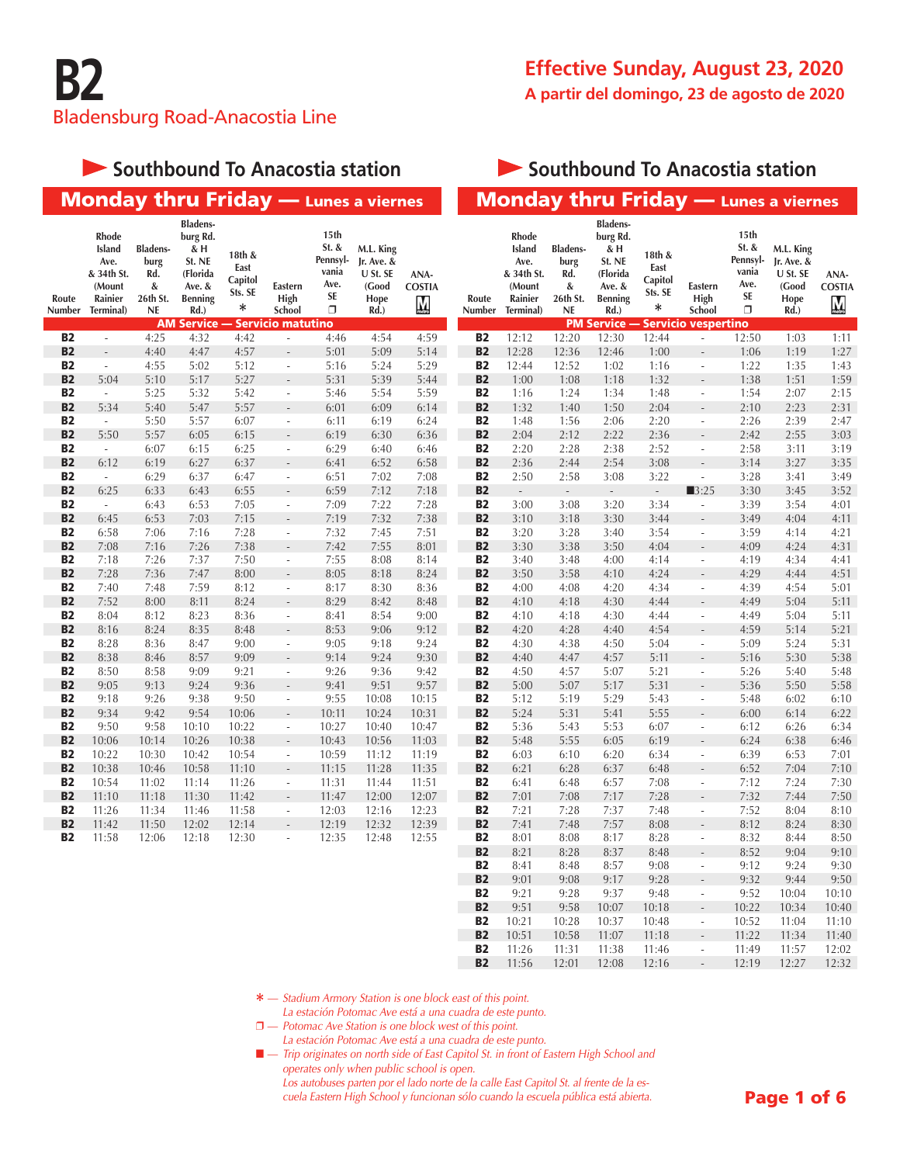#### **Southbound To Anacostia station**

#### **Southbound To Anacostia station**

**B2** 11:26 11:31 11:38 11:46 - 11:49 11:57 12:02<br>**B2** 11:56 12:01 12:08 12:16 - 12:19 12:27 12:32

11:56 12:01 12:08 12:16 -

|                        | <b>Monday thru Friday</b> - Lunes a viernes                             |                                                              |                                                                                              |                                                |                                                      |                                                       |                                                              |                            |                        |                                                                         |                                                              |                                                                                              |                                           |                                                      |                                                                   | <b>Monday thru Friday - Lunes a viernes</b>                  |                            |
|------------------------|-------------------------------------------------------------------------|--------------------------------------------------------------|----------------------------------------------------------------------------------------------|------------------------------------------------|------------------------------------------------------|-------------------------------------------------------|--------------------------------------------------------------|----------------------------|------------------------|-------------------------------------------------------------------------|--------------------------------------------------------------|----------------------------------------------------------------------------------------------|-------------------------------------------|------------------------------------------------------|-------------------------------------------------------------------|--------------------------------------------------------------|----------------------------|
| Route<br>Number        | Rhode<br>Island<br>Ave.<br>& 34th St.<br>(Mount<br>Rainier<br>Terminal) | <b>Bladens-</b><br>burg<br>Rd.<br>&<br>26th St.<br><b>NE</b> | <b>Bladens-</b><br>burg Rd.<br>& H<br>St. NE<br>(Florida<br>Ave. &<br><b>Benning</b><br>Rd.) | 18th &<br>East<br>Capitol<br>Sts. SE<br>$\ast$ | Eastern<br>High<br>School                            | 15th<br>St. &<br>Pennsyl-<br>vania<br>Ave.<br>SE<br>σ | M.L. King<br>Jr. Ave. &<br>U St. SE<br>(Good<br>Hope<br>Rd.) | ANA-<br><b>COSTIA</b><br>M | Route<br>Number        | Rhode<br>Island<br>Ave.<br>& 34th St.<br>(Mount<br>Rainier<br>Terminal) | <b>Bladens-</b><br>burg<br>Rd.<br>&<br>26th St.<br><b>NE</b> | <b>Bladens-</b><br>burg Rd.<br>& H<br>St. NE<br>(Florida<br>Ave. &<br><b>Benning</b><br>Rd.) | 18th &<br>East<br>Capitol<br>Sts. SE<br>* | Eastern<br>High<br>School                            | 15th<br>St. &<br>Pennsyl-<br>vania<br>Ave.<br><b>SE</b><br>$\Box$ | M.L. King<br>Jr. Ave. &<br>U St. SE<br>(Good<br>Hope<br>Rd.) | ANA-<br><b>COSTIA</b><br>Ņ |
|                        |                                                                         |                                                              | <b>AM Service -</b>                                                                          |                                                | <b>Servicio matutino</b>                             |                                                       |                                                              |                            |                        |                                                                         |                                                              | <b>PM Service -</b>                                                                          | · Servicio vespertino                     |                                                      |                                                                   |                                                              |                            |
| B2<br><b>B2</b>        | $\omega$                                                                | 4:25<br>4:40                                                 | 4:32<br>4:47                                                                                 | 4:42<br>4:57                                   | $\overline{\phantom{a}}$                             | 4:46                                                  | 4:54                                                         | 4:59                       | <b>B2</b><br><b>B2</b> | 12:12<br>12:28                                                          | 12:20                                                        | 12:30                                                                                        | 12:44                                     | $\bar{\phantom{a}}$                                  | 12:50<br>1:06                                                     | 1:03                                                         | 1:11<br>1:27               |
| <b>B2</b>              | $\sim$                                                                  | 4:55                                                         | 5:02                                                                                         | 5:12                                           | $\Box$                                               | 5:01<br>5:16                                          | 5:09<br>5:24                                                 | 5:14<br>5:29               | <b>B2</b>              | 12:44                                                                   | 12:36<br>12:52                                               | 12:46<br>1:02                                                                                | 1:00<br>1:16                              | $\Box$                                               | 1:22                                                              | 1:19<br>1:35                                                 | 1:43                       |
| <b>B2</b>              | 5:04                                                                    | 5:10                                                         | 5:17                                                                                         | 5:27                                           | $\overline{a}$                                       | 5:31                                                  | 5:39                                                         | 5:44                       | <b>B2</b>              | 1:00                                                                    | 1:08                                                         | 1:18                                                                                         | 1:32                                      |                                                      | 1:38                                                              | 1:51                                                         | 1:59                       |
| <b>B2</b>              | $\omega$                                                                | 5:25                                                         | 5:32                                                                                         | 5:42                                           | $\overline{\phantom{a}}$                             | 5:46                                                  | 5:54                                                         | 5:59                       | <b>B2</b>              | 1:16                                                                    | 1:24                                                         | 1:34                                                                                         | 1:48                                      | ÷,                                                   | 1:54                                                              | 2:07                                                         | 2:15                       |
| <b>B2</b>              | 5:34                                                                    | 5:40                                                         | 5:47                                                                                         | 5:57                                           | $\overline{\phantom{a}}$                             | 6:01                                                  | 6:09                                                         | 6:14                       | <b>B2</b>              | 1:32                                                                    | 1:40                                                         | 1:50                                                                                         | 2:04                                      | $\overline{\phantom{a}}$                             | 2:10                                                              | 2:23                                                         | 2:31                       |
| <b>B2</b>              | $\mathcal{L}_{\mathcal{A}}$                                             | 5:50                                                         | 5:57                                                                                         | 6:07                                           | $\Box$                                               | 6:11                                                  | 6:19                                                         | 6:24                       | <b>B2</b>              | 1:48                                                                    | 1:56                                                         | 2:06                                                                                         | 2:20                                      | ÷,                                                   | 2:26                                                              | 2:39                                                         | 2:47                       |
| <b>B2</b>              | 5:50                                                                    | 5:57                                                         | 6:05                                                                                         | 6:15                                           | $\overline{\phantom{a}}$                             | 6:19                                                  | 6:30                                                         | 6:36                       | <b>B2</b>              | 2:04                                                                    | 2:12                                                         | 2:22                                                                                         | 2:36                                      | $\overline{a}$                                       | 2:42                                                              | 2:55                                                         | 3:03                       |
| <b>B2</b>              | ä,                                                                      | 6:07                                                         | 6:15                                                                                         | 6:25                                           | $\overline{\phantom{a}}$                             | 6:29                                                  | 6:40                                                         | 6:46                       | <b>B2</b>              | 2:20                                                                    | 2:28                                                         | 2:38                                                                                         | 2:52                                      | ÷,                                                   | 2:58                                                              | 3:11                                                         | 3:19                       |
| <b>B2</b>              | 6:12                                                                    | 6:19                                                         | 6:27                                                                                         | 6:37                                           | $\overline{a}$                                       | 6:41                                                  | 6:52                                                         | 6:58                       | <b>B2</b>              | 2:36                                                                    | 2:44                                                         | 2:54                                                                                         | 3:08                                      | $\overline{a}$                                       | 3:14                                                              | 3:27                                                         | 3:35                       |
| <b>B2</b>              | $\omega$                                                                | 6:29                                                         | 6:37                                                                                         | 6:47                                           | $\overline{\phantom{a}}$                             | 6:51                                                  | 7:02                                                         | 7:08                       | <b>B2</b>              | 2:50                                                                    | 2:58                                                         | 3:08                                                                                         | 3:22                                      | $\Box$                                               | 3:28                                                              | 3:41                                                         | 3:49                       |
| <b>B2</b>              | 6:25                                                                    | 6:33                                                         | 6:43                                                                                         | 6:55                                           | $\overline{\phantom{a}}$                             | 6:59                                                  | 7:12                                                         | 7:18                       | <b>B2</b>              | $\overline{\phantom{a}}$                                                | $\overline{\phantom{a}}$                                     | $\sim$                                                                                       | $\Box$                                    | $\blacksquare$ 3:25                                  | 3:30                                                              | 3:45                                                         | 3:52                       |
| <b>B2</b>              | $\omega$                                                                | 6:43                                                         | 6:53                                                                                         | 7:05                                           | $\overline{\phantom{a}}$                             | 7:09                                                  | 7:22                                                         | 7:28                       | <b>B2</b>              | 3:00                                                                    | 3:08                                                         | 3:20                                                                                         | 3:34                                      | ÷,                                                   | 3:39                                                              | 3:54                                                         | 4:01                       |
| <b>B2</b>              | 6:45                                                                    | 6:53                                                         | 7:03                                                                                         | 7:15                                           | $\overline{\phantom{a}}$                             | 7:19                                                  | 7:32                                                         | 7:38                       | <b>B2</b>              | 3:10                                                                    | 3:18                                                         | 3:30                                                                                         | 3:44                                      | $\overline{a}$                                       | 3:49                                                              | 4:04                                                         | 4:11                       |
| <b>B2</b><br><b>B2</b> | 6:58<br>7:08                                                            | 7:06                                                         | 7:16                                                                                         | 7:28                                           | $\overline{\phantom{a}}$                             | 7:32                                                  | 7:45                                                         | 7:51<br>8:01               | <b>B2</b><br><b>B2</b> | 3:20<br>3:30                                                            | 3:28                                                         | 3:40                                                                                         | 3:54                                      | ÷,                                                   | 3:59                                                              | 4:14<br>4:24                                                 | 4:21                       |
| <b>B2</b>              | 7:18                                                                    | 7:16<br>7:26                                                 | 7:26<br>7:37                                                                                 | 7:38<br>7:50                                   | $\overline{a}$<br>$\overline{\phantom{a}}$           | 7:42<br>7:55                                          | 7:55<br>8:08                                                 | 8:14                       | <b>B2</b>              | 3:40                                                                    | 3:38<br>3:48                                                 | 3:50<br>4:00                                                                                 | 4:04<br>4:14                              | $\overline{\phantom{m}}$<br>÷,                       | 4:09<br>4:19                                                      | 4:34                                                         | 4:31<br>4:41               |
| <b>B2</b>              | 7:28                                                                    | 7:36                                                         | 7:47                                                                                         | 8:00                                           |                                                      | 8:05                                                  | 8:18                                                         | 8:24                       | <b>B2</b>              | 3:50                                                                    | 3:58                                                         | 4:10                                                                                         | 4:24                                      | $\overline{a}$                                       | 4:29                                                              | 4:44                                                         | 4:51                       |
| <b>B2</b>              | 7:40                                                                    | 7:48                                                         | 7:59                                                                                         | 8:12                                           | $\Box$                                               | 8:17                                                  | 8:30                                                         | 8:36                       | <b>B2</b>              | 4:00                                                                    | 4:08                                                         | 4:20                                                                                         | 4:34                                      | $\Box$                                               | 4:39                                                              | 4:54                                                         | 5:01                       |
| <b>B2</b>              | 7:52                                                                    | 8:00                                                         | 8:11                                                                                         | 8:24                                           |                                                      | 8:29                                                  | 8:42                                                         | 8:48                       | <b>B2</b>              | 4:10                                                                    | 4:18                                                         | 4:30                                                                                         | 4:44                                      |                                                      | 4:49                                                              | 5:04                                                         | 5:11                       |
| <b>B2</b>              | 8:04                                                                    | 8:12                                                         | 8:23                                                                                         | 8:36                                           | $\overline{\phantom{a}}$                             | 8:41                                                  | 8:54                                                         | 9:00                       | <b>B2</b>              | 4:10                                                                    | 4:18                                                         | 4:30                                                                                         | 4:44                                      | $\overline{\phantom{a}}$                             | 4:49                                                              | 5:04                                                         | 5:11                       |
| <b>B2</b>              | 8:16                                                                    | 8:24                                                         | 8:35                                                                                         | 8:48                                           |                                                      | 8:53                                                  | 9:06                                                         | 9:12                       | <b>B2</b>              | 4:20                                                                    | 4:28                                                         | 4:40                                                                                         | 4:54                                      |                                                      | 4:59                                                              | 5:14                                                         | 5:21                       |
| <b>B2</b>              | 8:28                                                                    | 8:36                                                         | 8:47                                                                                         | 9:00                                           | $\blacksquare$                                       | 9:05                                                  | 9:18                                                         | 9:24                       | <b>B2</b>              | 4:30                                                                    | 4:38                                                         | 4:50                                                                                         | 5:04                                      | $\overline{\phantom{a}}$                             | 5:09                                                              | 5:24                                                         | 5:31                       |
| <b>B2</b>              | 8:38                                                                    | 8:46                                                         | 8:57                                                                                         | 9:09                                           | $\frac{1}{2}$                                        | 9:14                                                  | 9:24                                                         | 9:30                       | <b>B2</b>              | 4:40                                                                    | 4:47                                                         | 4:57                                                                                         | 5:11                                      | $\overline{\phantom{m}}$                             | 5:16                                                              | 5:30                                                         | 5:38                       |
| <b>B2</b>              | 8:50                                                                    | 8:58                                                         | 9:09                                                                                         | 9:21                                           | $\overline{\phantom{a}}$                             | 9:26                                                  | 9:36                                                         | 9:42                       | <b>B2</b>              | 4:50                                                                    | 4:57                                                         | 5:07                                                                                         | 5:21                                      | ÷,                                                   | 5:26                                                              | 5:40                                                         | 5:48                       |
| <b>B2</b>              | 9:05                                                                    | 9:13                                                         | 9:24                                                                                         | 9:36                                           | $\frac{1}{2}$                                        | 9:41                                                  | 9:51                                                         | 9:57                       | <b>B2</b>              | 5:00                                                                    | 5:07                                                         | 5:17                                                                                         | 5:31                                      | $\overline{a}$                                       | 5:36                                                              | 5:50                                                         | 5:58                       |
| <b>B2</b>              | 9:18                                                                    | 9:26                                                         | 9:38                                                                                         | 9:50                                           | $\overline{\phantom{a}}$                             | 9:55                                                  | 10:08                                                        | 10:15                      | <b>B2</b>              | 5:12                                                                    | 5:19                                                         | 5:29                                                                                         | 5:43                                      | $\overline{\phantom{a}}$                             | 5:48                                                              | 6:02                                                         | 6:10                       |
| <b>B2</b>              | 9:34                                                                    | 9:42                                                         | 9:54                                                                                         | 10:06                                          | ÷,                                                   | 10:11                                                 | 10:24                                                        | 10:31                      | <b>B2</b>              | 5:24                                                                    | 5:31                                                         | 5:41                                                                                         | 5:55                                      | ÷                                                    | 6:00                                                              | 6:14                                                         | 6:22                       |
| <b>B2</b>              | 9:50                                                                    | 9:58                                                         | 10:10                                                                                        | 10:22                                          | $\overline{\phantom{a}}$                             | 10:27                                                 | 10:40                                                        | 10:47                      | <b>B2</b>              | 5:36                                                                    | 5:43                                                         | 5:53                                                                                         | 6:07                                      | $\overline{\phantom{a}}$                             | 6:12                                                              | 6:26                                                         | 6:34                       |
| <b>B2</b>              | 10:06                                                                   | 10:14                                                        | 10:26                                                                                        | 10:38                                          | $\overline{a}$                                       | 10:43                                                 | 10:56                                                        | 11:03                      | <b>B2</b>              | 5:48                                                                    | 5:55                                                         | 6:05                                                                                         | 6:19                                      | $\overline{a}$                                       | 6:24                                                              | 6:38                                                         | 6:46                       |
| <b>B2</b>              | 10:22                                                                   | 10:30                                                        | 10:42                                                                                        | 10:54                                          | $\overline{\phantom{a}}$                             | 10:59                                                 | 11:12                                                        | 11:19                      | <b>B2</b>              | 6:03                                                                    | 6:10                                                         | 6:20                                                                                         | 6:34                                      | ÷,                                                   | 6:39                                                              | 6:53                                                         | 7:01                       |
| <b>B2</b><br><b>B2</b> | 10:38                                                                   | 10:46                                                        | 10:58                                                                                        | 11:10                                          | $\frac{1}{2}$                                        | 11:15                                                 | 11:28                                                        | 11:35                      | <b>B2</b>              | 6:21                                                                    | 6:28                                                         | 6:37                                                                                         | 6:48                                      | $\overline{a}$                                       | 6:52                                                              | 7:04                                                         | 7:10                       |
| <b>B2</b>              | 10:54<br>11:10                                                          | 11:02<br>11:18                                               | 11:14<br>11:30                                                                               | 11:26<br>11:42                                 | $\overline{\phantom{a}}$                             | 11:31                                                 | 11:44<br>12:00                                               | 11:51<br>12:07             | <b>B2</b><br><b>B2</b> | 6:41<br>7:01                                                            | 6:48                                                         | 6:57                                                                                         | 7:08<br>7:28                              | ä,                                                   | 7:12                                                              | 7:24<br>7:44                                                 | 7:30                       |
| <b>B2</b>              | 11:26                                                                   | 11:34                                                        | 11:46                                                                                        | 11:58                                          | $\overline{\phantom{a}}$<br>$\overline{\phantom{a}}$ | 11:47<br>12:03                                        | 12:16                                                        | 12:23                      | <b>B2</b>              | 7:21                                                                    | 7:08<br>7:28                                                 | 7:17<br>7:37                                                                                 | 7:48                                      | $\overline{\phantom{a}}$<br>$\overline{\phantom{a}}$ | 7:32<br>7:52                                                      | 8:04                                                         | 7:50<br>8:10               |
| <b>B2</b>              | 11:42                                                                   | 11:50                                                        | 12:02                                                                                        | 12:14                                          |                                                      | 12:19                                                 | 12:32                                                        | 12:39                      | <b>B2</b>              | 7:41                                                                    | 7:48                                                         | 7:57                                                                                         | 8:08                                      |                                                      | 8:12                                                              | 8:24                                                         | 8:30                       |
| <b>B2</b>              | 11:58                                                                   | 12:06                                                        | 12:18                                                                                        | 12:30                                          | ÷,                                                   | 12:35                                                 | 12:48                                                        | 12:55                      | <b>B2</b>              | 8:01                                                                    | 8:08                                                         | 8:17                                                                                         | 8:28                                      | $\overline{\phantom{a}}$                             | 8:32                                                              | 8:44                                                         | 8:50                       |
|                        |                                                                         |                                                              |                                                                                              |                                                |                                                      |                                                       |                                                              |                            | <b>B2</b>              | 8:21                                                                    | 8:28                                                         | 8:37                                                                                         | 8:48                                      |                                                      | 8:52                                                              | 9:04                                                         | 9:10                       |
|                        |                                                                         |                                                              |                                                                                              |                                                |                                                      |                                                       |                                                              |                            | <b>B2</b>              | 8:41                                                                    | 8:48                                                         | 8:57                                                                                         | 9:08                                      | $\overline{\phantom{a}}$                             | 9:12                                                              | 9:24                                                         | 9:30                       |
|                        |                                                                         |                                                              |                                                                                              |                                                |                                                      |                                                       |                                                              |                            | <b>B2</b>              | 9:01                                                                    | 9:08                                                         | 9:17                                                                                         | 9:28                                      |                                                      | 9:32                                                              | 9:44                                                         | 9:50                       |
|                        |                                                                         |                                                              |                                                                                              |                                                |                                                      |                                                       |                                                              |                            | <b>B2</b>              | 9:21                                                                    | 9:28                                                         | 9:37                                                                                         | 9:48                                      | $\overline{\phantom{a}}$                             | 9:52                                                              | 10:04                                                        | 10:10                      |
|                        |                                                                         |                                                              |                                                                                              |                                                |                                                      |                                                       |                                                              |                            | <b>B2</b>              | 9:51                                                                    | 9:58                                                         | 10:07                                                                                        | 10:18                                     | $\overline{a}$                                       | 10:22                                                             | 10:34                                                        | 10:40                      |
|                        |                                                                         |                                                              |                                                                                              |                                                |                                                      |                                                       |                                                              |                            | <b>B2</b>              | 10:21                                                                   | 10:28                                                        | 10:37                                                                                        | 10:48                                     | $\overline{\phantom{a}}$                             | 10:52                                                             | 11:04                                                        | 11:10                      |
|                        |                                                                         |                                                              |                                                                                              |                                                |                                                      |                                                       |                                                              |                            | <b>B2</b>              | 10:51                                                                   | 10:58                                                        | 11:07                                                                                        | 11:18                                     |                                                      | 11:22                                                             | 11:34                                                        | 11:40                      |

**\*** *— Stadium Armory Station is one block east of this point.*

*La estación Potomac Ave está a una cuadra de este punto.* 

 $\Box$  - Potomac Ave Station is one block west of this point.

*La estación Potomac Ave está a una cuadra de este punto.*

■ *■ — Trip originates on north side of East Capitol St. in front of Eastern High School and operates only when public school is open.*

*Los autobuses parten por el lado norte de la calle East Capitol St. al frente de la escuela Eastern High School y funcionan sólo cuando la escuela pública está abierta.*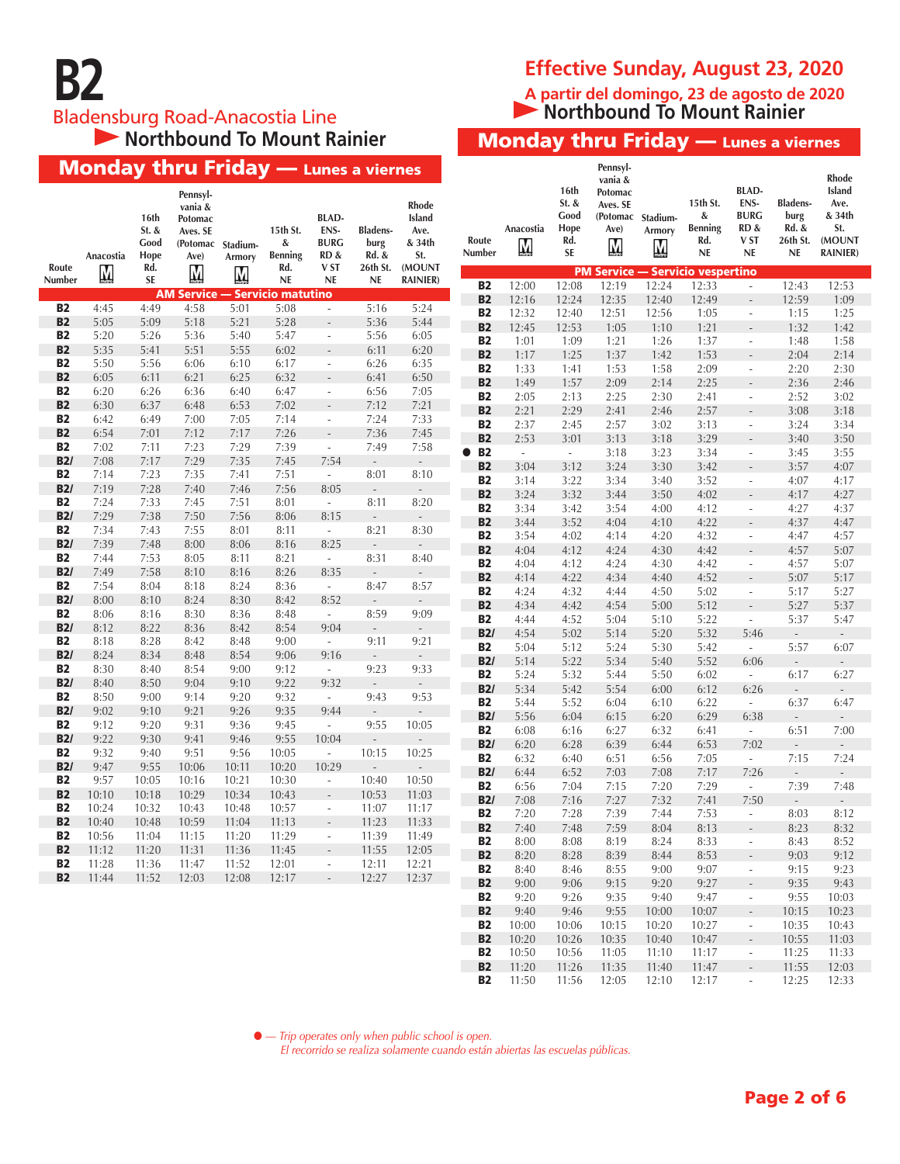# Bladensburg Road-Anacostia Line<br>
Northbound To Mount Rainier

Monday thru Friday — Lunes a viernes

#### **Effective Sunday, August 23, 2020**

**A partir del domingo, 23 de agosto de 2020 Northbound To Mount Rainier** 

**Monday thru Friday — Lunes a viernes** 

|                  | <b>Monday thru Friday — Lunes a viernes</b> |                               |                                                                         |              |                                 |                                             |                                  |                                          |                        |                |                                              | Pennsyl-<br>vania &                                   |              |                                                                |                                                                            |                                                    | <b>Rhode</b>                                                        |
|------------------|---------------------------------------------|-------------------------------|-------------------------------------------------------------------------|--------------|---------------------------------|---------------------------------------------|----------------------------------|------------------------------------------|------------------------|----------------|----------------------------------------------|-------------------------------------------------------|--------------|----------------------------------------------------------------|----------------------------------------------------------------------------|----------------------------------------------------|---------------------------------------------------------------------|
|                  | Anacostia                                   | 16th<br>St. &<br>Good<br>Hope | Pennsyl-<br>vania &<br>Potomac<br>Aves. SE<br>(Potomac Stadium-<br>Ave) | Armory       | 15th St.<br>&<br><b>Benning</b> | <b>BLAD-</b><br>ENS-<br><b>BURG</b><br>RD & | <b>Bladens-</b><br>burg<br>Rd. & | Rhode<br>Island<br>Ave.<br>& 34th<br>St. | Route<br>Number        | Anacostia<br>M | 16th<br>$St.$ &<br>Good<br>Hope<br>Rd.<br>SE | Potomac<br>Aves. SE<br>(Potomac Stadium-<br>Ave)<br>M | Armory<br>M  | 15th St.<br>&<br><b>Benning</b><br>Rd.<br>$\mathsf{NE}\xspace$ | <b>BLAD-</b><br>ENS-<br><b>BURG</b><br>RD&<br>V <sub>ST</sub><br><b>NE</b> | <b>Bladens-</b><br>burg<br>Rd. &<br>26th St.<br>NE | <b>Island</b><br>Ave.<br>& 34th<br>St.<br>(MOUNT<br><b>RAINIER)</b> |
| Route<br>Number  | Ņ                                           | Rd.<br><b>SE</b>              | M                                                                       | M            | Rd.<br>$\mathsf{NE}\xspace$     | V ST<br>NE                                  | 26th St.<br><b>NE</b>            | (MOUNT<br><b>RAINIER)</b>                |                        |                |                                              |                                                       |              | <b>PM Service - Servicio vespertino</b>                        |                                                                            |                                                    |                                                                     |
|                  |                                             |                               | <b>AM Service - Servicio matutino</b>                                   |              |                                 |                                             |                                  |                                          | <b>B2</b>              | 12:00          | 12:08                                        | 12:19                                                 | 12:24        | 12:33                                                          | $\overline{\phantom{a}}$                                                   | 12:43                                              | 12:53                                                               |
| <b>B2</b>        | 4:45                                        | 4:49                          | 4:58                                                                    | 5:01         | 5:08                            | $\overline{\phantom{a}}$                    | 5:16                             | 5:24                                     | <b>B2</b>              | 12:16          | 12:24                                        | 12:35                                                 | 12:40        | 12:49                                                          | $\overline{\phantom{a}}$                                                   | 12:59                                              | 1:09                                                                |
| <b>B2</b>        | 5:05                                        | 5:09                          | 5:18                                                                    | 5:21         | 5:28                            | $\overline{\phantom{a}}$                    | 5:36                             | 5:44                                     | <b>B2</b>              | 12:32          | 12:40                                        | 12:51                                                 | 12:56        | 1:05                                                           | $\overline{\phantom{a}}$                                                   | 1:15                                               | 1:25                                                                |
| <b>B2</b>        | 5:20                                        | 5:26                          | 5:36                                                                    | 5:40         | 5:47                            | $\overline{\phantom{a}}$                    | 5:56                             | 6:05                                     | <b>B2</b>              | 12:45          | 12:53                                        | 1:05                                                  | 1:10         | 1:21                                                           | $\overline{\phantom{a}}$                                                   | 1:32                                               | 1:42                                                                |
| <b>B2</b>        | 5:35                                        | 5:41                          | 5:51                                                                    | 5:55         | 6:02                            | $\overline{\phantom{a}}$                    | 6:11                             | 6:20                                     | <b>B2</b>              | 1:01           | 1:09                                         | 1:21                                                  | 1:26         | 1:37                                                           | $\overline{\phantom{a}}$                                                   | 1:48                                               | 1:58                                                                |
| <b>B2</b>        | 5:50                                        | 5:56                          | 6:06                                                                    | 6:10         | 6:17                            | $\overline{\phantom{a}}$                    | 6:26                             | 6:35                                     | <b>B2</b>              | 1:17           | 1:25                                         | 1:37                                                  | 1:42         | 1:53                                                           | $\overline{\phantom{a}}$                                                   | 2:04                                               | 2:14                                                                |
| <b>B2</b>        | 6:05                                        | 6:11                          | 6:21                                                                    | 6:25         | 6:32                            | $\sim$                                      | 6:41                             | 6:50                                     | <b>B2</b><br><b>B2</b> | 1:33           | 1:41                                         | 1:53                                                  | 1:58         | 2:09                                                           | $\overline{\phantom{a}}$                                                   | 2:20                                               | 2:30                                                                |
| <b>B2</b>        | 6:20                                        | 6:26                          | 6:36                                                                    | 6:40         | 6:47                            | $\overline{\phantom{a}}$                    | 6:56                             | 7:05                                     | <b>B2</b>              | 1:49<br>2:05   | 1:57<br>2:13                                 | 2:09                                                  | 2:14         | 2:25                                                           | $\mathcal{L}^{\mathcal{L}}$                                                | 2:36                                               | 2:46<br>3:02                                                        |
| <b>B2</b>        | 6:30                                        | 6:37                          | 6:48                                                                    | 6:53         | 7:02                            |                                             | 7:12                             | 7:21                                     | <b>B2</b>              | 2:21           | 2:29                                         | 2:25<br>2:41                                          | 2:30<br>2:46 | 2:41<br>2:57                                                   | $\overline{\phantom{a}}$<br>$\overline{\phantom{a}}$                       | 2:52<br>3:08                                       | 3:18                                                                |
| <b>B2</b>        | 6:42                                        | 6:49                          | 7:00                                                                    | 7:05         | 7:14                            | $\overline{\phantom{a}}$                    | 7:24                             | 7:33                                     | <b>B2</b>              | 2:37           | 2:45                                         | 2:57                                                  | 3:02         | 3:13                                                           | $\overline{\phantom{a}}$                                                   | 3:24                                               | 3:34                                                                |
| <b>B2</b>        | 6:54                                        | 7:01                          | 7:12                                                                    | 7:17         | 7:26                            | $\overline{\phantom{a}}$                    | 7:36                             | 7:45                                     | <b>B2</b>              | 2:53           | 3:01                                         | 3:13                                                  | 3:18         | 3:29                                                           |                                                                            | 3:40                                               | 3:50                                                                |
| <b>B2</b>        | 7:02                                        | 7:11                          | 7:23                                                                    | 7:29         | 7:39                            | $\overline{\phantom{a}}$                    | 7:49                             | 7:58                                     | <b>B2</b><br>$\bullet$ | $\omega$       | $\omega$                                     | 3:18                                                  | 3:23         | 3:34                                                           | $\overline{\phantom{a}}$                                                   | 3:45                                               | 3:55                                                                |
| B2/              | 7:08                                        | 7:17                          | 7:29                                                                    | 7:35         | 7:45                            | 7:54                                        | $\overline{\phantom{a}}$         | $\mathbb{Z}^{\mathbb{Z}}$                | <b>B2</b>              | 3:04           | 3:12                                         | 3:24                                                  | 3:30         | 3:42                                                           | $\overline{\phantom{a}}$                                                   | 3:57                                               | 4:07                                                                |
| <b>B2</b>        | 7:14                                        | 7:23                          | 7:35                                                                    | 7:41         | 7:51                            | $\overline{\phantom{a}}$                    | 8:01                             | 8:10                                     | <b>B2</b>              | 3:14           | 3:22                                         | 3:34                                                  | 3:40         | 3:52                                                           | $\overline{\phantom{a}}$                                                   | 4:07                                               | 4:17                                                                |
| B2/              | 7:19                                        | 7:28                          | 7:40                                                                    | 7:46         | 7:56                            | 8:05                                        | $\overline{\phantom{a}}$         | $\overline{\phantom{a}}$                 | <b>B2</b>              | 3:24           | 3:32                                         | 3:44                                                  | 3:50         | 4:02                                                           | $\overline{\phantom{a}}$                                                   | 4:17                                               | 4:27                                                                |
| <b>B2</b>        | 7:24                                        | 7:33                          | 7:45                                                                    | 7:51         | 8:01                            | $\sim$                                      | 8:11                             | 8:20                                     | <b>B2</b>              | 3:34           | 3:42                                         | 3:54                                                  | 4:00         | 4:12                                                           | $\overline{\phantom{a}}$                                                   | 4:27                                               | 4:37                                                                |
| B2/              | 7:29                                        | 7:38                          | 7:50                                                                    | 7:56         | 8:06                            | 8:15                                        | $\Box$                           | $\overline{\phantom{a}}$                 | <b>B2</b>              | 3:44           | 3:52                                         | 4:04                                                  | 4:10         | 4:22                                                           | $\overline{\phantom{a}}$                                                   | 4:37                                               | 4:47                                                                |
| <b>B2</b>        | 7:34                                        | 7:43                          | 7:55                                                                    | 8:01         | 8:11                            | $\mathcal{L}_{\mathcal{A}}$                 | 8:21                             | 8:30                                     | <b>B2</b>              | 3:54           | 4:02                                         | 4:14                                                  | 4:20         | 4:32                                                           | $\overline{\phantom{a}}$                                                   | 4:47                                               | 4:57                                                                |
| B2/              | 7:39                                        | 7:48                          | 8:00                                                                    | 8:06         | 8:16                            | 8:25                                        | $\overline{\phantom{a}}$         | $\overline{\phantom{a}}$                 | <b>B2</b>              | 4:04           | 4:12                                         | 4:24                                                  | 4:30         | 4:42                                                           | $\mathcal{L}$                                                              | 4:57                                               | 5:07                                                                |
| <b>B2</b>        | 7:44                                        | 7:53                          | 8:05                                                                    | 8:11         | 8:21                            | $\mathcal{L}_{\mathcal{A}}$                 | 8:31                             | 8:40                                     | <b>B2</b>              | 4:04           | 4:12                                         | 4:24                                                  | 4:30         | 4:42                                                           | $\overline{\phantom{a}}$                                                   | 4:57                                               | 5:07                                                                |
| B2/              | 7:49                                        | 7:58                          | 8:10                                                                    | 8:16         | 8:26                            | 8:35                                        | $\overline{\phantom{a}}$         | $\overline{\phantom{a}}$                 | <b>B2</b>              | 4:14           | 4:22                                         | 4:34                                                  | 4:40         | 4:52                                                           | $\overline{\phantom{a}}$                                                   | 5:07                                               | 5:17                                                                |
| <b>B2</b><br>B2/ | 7:54<br>8:00                                | 8:04<br>8:10                  | 8:18<br>8:24                                                            | 8:24<br>8:30 | 8:36<br>8:42                    | $\overline{\phantom{a}}$                    | 8:47                             | 8:57                                     | <b>B2</b>              | 4:24           | 4:32                                         | 4:44                                                  | 4:50         | 5:02                                                           | $\overline{\phantom{a}}$                                                   | 5:17                                               | 5:27                                                                |
| <b>B2</b>        | 8:06                                        | 8:16                          | 8:30                                                                    | 8:36         | 8:48                            | 8:52<br>$\overline{\phantom{a}}$            | $\overline{\phantom{a}}$<br>8:59 | $\overline{\phantom{a}}$<br>9:09         | <b>B2</b>              | 4:34           | 4:42                                         | 4:54                                                  | 5:00         | 5:12                                                           | $\overline{\phantom{a}}$                                                   | 5:27                                               | 5:37                                                                |
| B2/              | 8:12                                        | 8:22                          | 8:36                                                                    | 8:42         | 8:54                            | 9:04                                        | $\overline{\phantom{a}}$         | $\overline{\phantom{a}}$                 | <b>B2</b>              | 4:44           | 4:52                                         | 5:04                                                  | 5:10         | 5:22                                                           | $\overline{\phantom{a}}$                                                   | 5:37                                               | 5:47                                                                |
| <b>B2</b>        | 8:18                                        | 8:28                          | 8:42                                                                    | 8:48         | 9:00                            | $\overline{\phantom{a}}$                    | 9:11                             | 9:21                                     | B2/                    | 4:54           | 5:02                                         | 5:14                                                  | 5:20         | 5:32                                                           | 5:46                                                                       | $\overline{\phantom{a}}$                           | $\sim$                                                              |
| B2/              | 8:24                                        | 8:34                          | 8:48                                                                    | 8:54         | 9:06                            | 9:16                                        | ÷.                               | $\mathcal{L}_{\mathcal{A}}$              | <b>B2</b>              | 5:04           | 5:12                                         | 5:24                                                  | 5:30         | 5:42                                                           | $\sim$                                                                     | 5:57                                               | 6:07                                                                |
| <b>B2</b>        | 8:30                                        | 8:40                          | 8:54                                                                    | 9:00         | 9:12                            | $\sim$                                      | 9:23                             | 9:33                                     | B2/                    | 5:14           | 5:22                                         | 5:34                                                  | 5:40         | 5:52                                                           | 6:06                                                                       | $\overline{\phantom{a}}$                           | $\overline{\phantom{a}}$                                            |
| B2/              | 8:40                                        | 8:50                          | 9:04                                                                    | 9:10         | 9:22                            | 9:32                                        | $\overline{\phantom{a}}$         | $\overline{\phantom{a}}$                 | <b>B2</b>              | 5:24           | 5:32                                         | 5:44                                                  | 5:50         | 6:02                                                           | $\mathcal{L}_{\mathcal{A}}$                                                | 6:17                                               | 6:27                                                                |
| <b>B2</b>        | 8:50                                        | 9:00                          | 9:14                                                                    | 9:20         | 9:32                            | $\overline{\phantom{a}}$                    | 9:43                             | 9:53                                     | B2/                    | 5:34           | 5:42                                         | 5:54                                                  | 6:00         | 6:12                                                           | 6:26                                                                       | $\overline{\phantom{a}}$                           | $\overline{\phantom{a}}$                                            |
| B2/              | 9:02                                        | 9:10                          | 9:21                                                                    | 9:26         | 9:35                            | 9:44                                        | $\overline{\phantom{a}}$         | $\overline{\phantom{a}}$                 | <b>B2</b>              | 5:44           | 5:52                                         | 6:04                                                  | 6:10         | 6:22                                                           | $\mathcal{L}_{\mathcal{A}}$                                                | 6:37                                               | 6:47                                                                |
| <b>B2</b>        | 9:12                                        | 9:20                          | 9:31                                                                    | 9:36         | 9:45                            | $\overline{\phantom{a}}$                    | 9:55                             | 10:05                                    | B2/<br><b>B2</b>       | 5:56<br>6:08   | 6:04                                         | 6:15                                                  | 6:20         | 6:29                                                           | 6:38                                                                       | $\blacksquare$                                     | $\overline{\phantom{a}}$<br>7:00                                    |
| B2/              | 9:22                                        | 9:30                          | 9:41                                                                    | 9:46         | 9:55                            | 10:04                                       | $\overline{a}$                   | $\overline{\phantom{a}}$                 | B2/                    | 6:20           | 6:16<br>6:28                                 | 6:27<br>6:39                                          | 6:32<br>6:44 | 6:41<br>6:53                                                   | $\mathcal{L}_{\mathcal{A}}$<br>7:02                                        | 6:51<br>$\overline{\phantom{a}}$                   | $\overline{\phantom{a}}$                                            |
| <b>B2</b>        | 9:32                                        | 9:40                          | 9:51                                                                    | 9:56         | 10:05                           | $\sim$                                      | 10:15                            | 10:25                                    | <b>B2</b>              | 6:32           | 6:40                                         | 6:51                                                  | 6:56         | 7:05                                                           | $\sim$                                                                     | 7:15                                               | 7:24                                                                |
| B2/              | 9:47                                        | 9:55                          | 10:06                                                                   | 10:11        | 10:20                           | 10:29                                       | $\overline{\phantom{a}}$         | $\overline{\phantom{a}}$                 | B2/                    | 6:44           | 6:52                                         | 7:03                                                  | 7:08         | 7:17                                                           | 7:26                                                                       | $\mathbb{Z}^2$                                     | $\Box$                                                              |
| <b>B2</b>        | 9:57                                        | 10:05                         | 10:16                                                                   | 10:21        | 10:30                           | $\overline{\phantom{a}}$                    | 10:40                            | 10:50                                    | <b>B2</b>              | 6:56           | 7:04                                         | 7:15                                                  | 7:20         | 7:29                                                           | $\sim$                                                                     | 7:39                                               | 7:48                                                                |
| <b>B2</b>        | 10:10                                       | 10:18                         | 10:29                                                                   | 10:34        | 10:43                           | $\overline{\phantom{a}}$                    | 10:53                            | 11:03                                    | B2/                    | 7:08           | 7:16                                         | 7:27                                                  | 7:32         | 7:41                                                           | 7:50                                                                       | $\overline{\phantom{a}}$                           | $\overline{\phantom{a}}$                                            |
| B <sub>2</sub>   | 10:24                                       | 10:32                         | 10:43                                                                   | 10:48        | 10:57                           | $\overline{\phantom{a}}$                    | 11:07                            | 11:17                                    | <b>B2</b>              | 7:20           | 7:28                                         | 7:39                                                  | 7:44         | 7:53                                                           | $\overline{\phantom{a}}$                                                   | 8:03                                               | 8:12                                                                |
| <b>B2</b>        | 10:40                                       | 10:48                         | 10:59                                                                   | 11:04        | 11:13                           |                                             | 11:23                            | 11:33                                    | B <sub>2</sub>         | 7:40           | 7:48                                         | 7:59                                                  | 8:04         | 8:13                                                           |                                                                            | 8:23                                               | 8:32                                                                |
| <b>B2</b>        | 10:56                                       | 11:04                         | 11:15                                                                   | 11:20        | 11:29                           | $\overline{\phantom{a}}$                    | 11:39                            | 11:49                                    | <b>B2</b>              | 8:00           | 8:08                                         | 8:19                                                  | 8:24         | 8:33                                                           | $\overline{\phantom{a}}$                                                   | 8:43                                               | 8:52                                                                |
| <b>B2</b>        | 11:12                                       | 11:20                         | 11:31                                                                   | 11:36        | 11:45                           | $\sim$                                      | 11:55                            | 12:05                                    | <b>B2</b>              | 8:20           | 8:28                                         | 8:39                                                  | 8:44         | 8:53                                                           | $\overline{\phantom{a}}$                                                   | 9:03                                               | 9:12                                                                |
| <b>B2</b>        | 11:28                                       | 11:36                         | 11:47                                                                   | 11:52        | 12:01                           | $\sim$                                      | 12:11                            | 12:21                                    | <b>B2</b>              | 8:40           | 8:46                                         | 8:55                                                  | 9:00         | 9:07                                                           | $\overline{\phantom{a}}$                                                   | 9:15                                               | 9:23                                                                |
| <b>B2</b>        | 11:44                                       | 11:52                         | 12:03                                                                   | 12:08        | 12:17                           | $\sim$                                      | 12:27                            | 12:37                                    | <b>B2</b>              | 9:00           | 9:06                                         | 9:15                                                  | 9:20         | 9:27                                                           | $\overline{\phantom{a}}$                                                   | 9:35                                               | 9:43                                                                |
|                  |                                             |                               |                                                                         |              |                                 |                                             |                                  |                                          | <b>B2</b>              | 9:20           | 9:26                                         | 9:35                                                  | 9:40         | 9:47                                                           | $\overline{\phantom{a}}$                                                   | 9:55                                               | 10:03                                                               |
|                  |                                             |                               |                                                                         |              |                                 |                                             |                                  |                                          | <b>B2</b>              | 9:40           | 9:46                                         | 9:55                                                  | 10:00        | 10:07                                                          | $\mathcal{L}_{\mathcal{A}}$                                                | 10:15                                              | 10:23                                                               |
|                  |                                             |                               |                                                                         |              |                                 |                                             |                                  |                                          | <b>B2</b>              | 10:00          | 10:06                                        | 10:15                                                 | 10:20        | 10:27                                                          | $\sim$                                                                     | 10:35                                              | 10:43                                                               |
|                  |                                             |                               |                                                                         |              |                                 |                                             |                                  |                                          | <b>B2</b>              | 10:20          | 10:26                                        | 10:35                                                 | 10:40        | 10:47                                                          | $\sim$                                                                     | 10:55                                              | 11:03                                                               |
|                  |                                             |                               |                                                                         |              |                                 |                                             |                                  |                                          | <b>B2</b>              | 10:50          | 10:56                                        | 11:05                                                 | 11:10        | 11:17                                                          | $\sim 10$                                                                  | 11:25                                              | 11:33                                                               |

l *— Trip operates only when public school is open.*

*El recorrido se realiza solamente cuando están abiertas las escuelas públicas.* 

**B2** 11:20 11:26 11:35 11:40 11:47 - 11:55 12:03 B2 11:50 11:56 12:05 12:10 12:17 - 12:25 12:33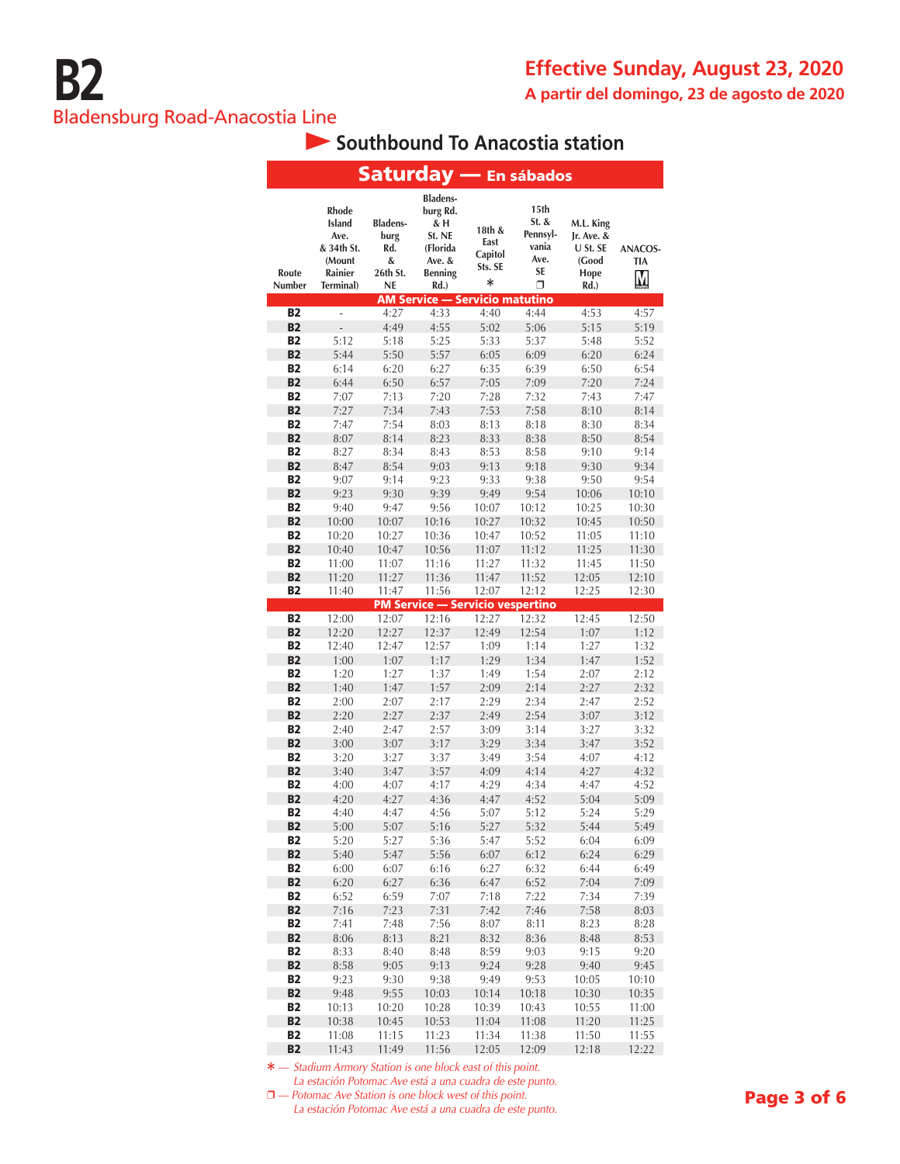## **Southbound To Anacostia station**

|                        |                                                                                |                                                       |                                                                                                                                       |                                                | <b>Saturday — En sábados</b>                                 |                                                                  |                                   |
|------------------------|--------------------------------------------------------------------------------|-------------------------------------------------------|---------------------------------------------------------------------------------------------------------------------------------------|------------------------------------------------|--------------------------------------------------------------|------------------------------------------------------------------|-----------------------------------|
| Route<br>Number        | <b>Rhode</b><br>Island<br>Ave.<br>& 34th St.<br>(Mount<br>Rainier<br>Terminal) | <b>Bladens-</b><br>burg<br>Rd.<br>&<br>26th St.<br>NE | <b>Bladens-</b><br>burg Rd.<br>& H<br>St. NE<br>(Florida<br>Ave. &<br><b>Benning</b><br>Rd.)<br><b>AM Service - Servicio matutino</b> | 18th &<br>East<br>Capitol<br>Sts. SE<br>$\ast$ | 15th<br>St. &<br>Pennsyl-<br>vania<br>Ave.<br><b>SE</b><br>Π | M.L. King<br>$Ir.$ Ave. $&$<br>U St. SE<br>(Good<br>Hope<br>Rd.) | <b>ANACOS-</b><br><b>TIA</b><br>M |
| <b>B2</b>              | $\overline{a}$                                                                 | 4:27                                                  | 4:33                                                                                                                                  | 4:40                                           | 4:44                                                         | 4:53                                                             | 4:57                              |
| <b>B2</b>              |                                                                                | 4:49                                                  | 4:55                                                                                                                                  | 5:02                                           | 5:06                                                         | 5:15                                                             | 5:19                              |
| <b>B2</b>              | 5:12                                                                           | 5:18                                                  | 5:25                                                                                                                                  | 5:33                                           | 5:37                                                         | 5:48                                                             | 5:52                              |
| <b>B2</b>              | 5:44                                                                           | 5:50                                                  | 5:57                                                                                                                                  | 6:05                                           | 6:09                                                         | 6:20                                                             | 6:24                              |
| <b>B2</b>              | 6:14                                                                           | 6:20                                                  | 6:27                                                                                                                                  | 6:35                                           | 6:39                                                         | 6:50                                                             | 6:54                              |
| <b>B2</b>              | 6:44                                                                           | 6:50                                                  | 6:57                                                                                                                                  | 7:05                                           | 7:09                                                         | 7:20                                                             | 7:24                              |
| <b>B2</b>              | 7:07                                                                           | 7:13                                                  | 7:20                                                                                                                                  | 7:28                                           | 7:32                                                         | 7:43                                                             | 7:47                              |
| <b>B2</b>              | 7:27                                                                           | 7:34                                                  | 7:43                                                                                                                                  | 7:53                                           | 7:58                                                         | 8:10                                                             | 8:14                              |
| <b>B2</b>              | 7:47                                                                           | 7:54                                                  | 8:03                                                                                                                                  | 8:13                                           | 8:18                                                         | 8:30                                                             | 8:34                              |
| <b>B2</b>              | 8:07                                                                           | 8:14                                                  | 8:23                                                                                                                                  | 8:33                                           | 8:38                                                         | 8:50                                                             | 8:54                              |
| <b>B2</b>              | 8:27                                                                           | 8:34                                                  | 8:43                                                                                                                                  | 8:53                                           | 8:58                                                         | 9:10                                                             | 9:14                              |
| <b>B2</b><br><b>B2</b> | 8:47                                                                           | 8:54                                                  | 9:03                                                                                                                                  | 9:13                                           | 9:18                                                         | 9:30<br>9:50                                                     | 9:34                              |
| <b>B2</b>              | 9:07<br>9:23                                                                   | 9:14<br>9:30                                          | 9:23<br>9:39                                                                                                                          | 9:33<br>9:49                                   | 9:38<br>9:54                                                 | 10:06                                                            | 9:54<br>10:10                     |
| <b>B2</b>              | 9:40                                                                           | 9:47                                                  | 9:56                                                                                                                                  | 10:07                                          | 10:12                                                        | 10:25                                                            | 10:30                             |
| <b>B2</b>              | 10:00                                                                          | 10:07                                                 | 10:16                                                                                                                                 | 10:27                                          | 10:32                                                        | 10:45                                                            | 10:50                             |
| <b>B2</b>              | 10:20                                                                          | 10:27                                                 | 10:36                                                                                                                                 | 10:47                                          | 10:52                                                        | 11:05                                                            | 11:10                             |
| <b>B2</b>              | 10:40                                                                          | 10:47                                                 | 10:56                                                                                                                                 | 11:07                                          | 11:12                                                        | 11:25                                                            | 11:30                             |
| <b>B2</b>              | 11:00                                                                          | 11:07                                                 | 11:16                                                                                                                                 | 11:27                                          | 11:32                                                        | 11:45                                                            | 11:50                             |
| <b>B2</b>              | 11:20                                                                          | 11:27                                                 | 11:36                                                                                                                                 | 11:47                                          | 11:52                                                        | 12:05                                                            | 12:10                             |
| <b>B2</b>              | 11:40                                                                          | 11:47                                                 | 11:56                                                                                                                                 | 12:07                                          | 12:12                                                        | 12:25                                                            | 12:30                             |
|                        |                                                                                |                                                       | <b>PM Service — Servicio vespertino</b>                                                                                               |                                                |                                                              |                                                                  |                                   |
| <b>B2</b>              | 12:00                                                                          | 12:07                                                 | 12:16                                                                                                                                 | 12:27                                          | 12:32                                                        | 12:45                                                            | 12:50                             |
| <b>B2</b>              | 12:20                                                                          | 12:27                                                 | 12:37                                                                                                                                 | 12:49                                          | 12:54                                                        | 1:07                                                             | 1:12                              |
| <b>B2</b><br><b>B2</b> | 12:40                                                                          | 12:47                                                 | 12:57                                                                                                                                 | 1:09                                           | 1:14                                                         | 1:27                                                             | 1:32                              |
| <b>B2</b>              | 1:00<br>1:20                                                                   | 1:07<br>1:27                                          | 1:17<br>1:37                                                                                                                          | 1:29<br>1:49                                   | 1:34<br>1:54                                                 | 1:47<br>2:07                                                     | 1:52<br>2:12                      |
| <b>B2</b>              | 1:40                                                                           | 1:47                                                  | 1:57                                                                                                                                  | 2:09                                           | 2:14                                                         | 2:27                                                             | 2:32                              |
| <b>B2</b>              | 2:00                                                                           | 2:07                                                  | 2:17                                                                                                                                  | 2:29                                           | 2:34                                                         | 2:47                                                             | 2:52                              |
| <b>B2</b>              | 2:20                                                                           | 2:27                                                  | 2:37                                                                                                                                  | 2:49                                           | 2:54                                                         | 3:07                                                             | 3:12                              |
| <b>B2</b>              | 2:40                                                                           | 2:47                                                  | 2:57                                                                                                                                  | 3:09                                           | 3:14                                                         | 3:27                                                             | 3:32                              |
| <b>B2</b>              | 3:00                                                                           | 3:07                                                  | 3:17                                                                                                                                  | 3:29                                           | 3:34                                                         | 3:47                                                             | 3:52                              |
| <b>B2</b>              | 3:20                                                                           | 3:27                                                  | 3:37                                                                                                                                  | 3:49                                           | 3:54                                                         | 4:07                                                             | 4:12                              |
| <b>B2</b>              | 3:40                                                                           | 3:47                                                  | 3:57                                                                                                                                  | 4:09                                           | 4:14                                                         | 4:27                                                             | 4:32                              |
| <b>B2</b>              | 4:00                                                                           | 4:07                                                  | 4:17                                                                                                                                  | 4:29                                           | 4:34                                                         | 4:47                                                             | 4:52                              |
| <b>B2</b>              | 4:20                                                                           | 4:27                                                  | 4:36                                                                                                                                  | 4:47                                           | 4:52                                                         | 5:04                                                             | 5:09                              |
| <b>B2</b>              | 4:40                                                                           | 4:47                                                  | 4:56                                                                                                                                  | 5:07                                           | 5:12                                                         | 5:24                                                             | 5:29                              |
| B2<br><b>B2</b>        | 5:00<br>5:20                                                                   | 5:07<br>5:27                                          | 5:16<br>5:36                                                                                                                          | 5:27                                           | 5:32<br>5:52                                                 | 5:44<br>6:04                                                     | 5:49                              |
| <b>B2</b>              | 5:40                                                                           | 5:47                                                  | 5:56                                                                                                                                  | 5:47<br>6:07                                   | 6:12                                                         | 6:24                                                             | 6:09<br>6:29                      |
| <b>B2</b>              | 6:00                                                                           | 6:07                                                  | 6:16                                                                                                                                  | 6:27                                           | 6:32                                                         | 6:44                                                             | 6:49                              |
| <b>B2</b>              | 6:20                                                                           | 6:27                                                  | 6:36                                                                                                                                  | 6:47                                           | 6:52                                                         | 7:04                                                             | 7:09                              |
| <b>B2</b>              | 6:52                                                                           | 6:59                                                  | 7:07                                                                                                                                  | 7:18                                           | 7:22                                                         | 7:34                                                             | 7:39                              |
| <b>B2</b>              | 7:16                                                                           | 7:23                                                  | 7:31                                                                                                                                  | 7:42                                           | 7:46                                                         | 7:58                                                             | 8:03                              |
| <b>B2</b>              | 7:41                                                                           | 7:48                                                  | 7:56                                                                                                                                  | 8:07                                           | 8:11                                                         | 8:23                                                             | 8:28                              |
| <b>B2</b>              | 8:06                                                                           | 8:13                                                  | 8:21                                                                                                                                  | 8:32                                           | 8:36                                                         | 8:48                                                             | 8:53                              |
| <b>B2</b>              | 8:33                                                                           | 8:40                                                  | 8:48                                                                                                                                  | 8:59                                           | 9:03                                                         | 9:15                                                             | 9:20                              |
| <b>B2</b>              | 8:58                                                                           | 9:05                                                  | 9:13                                                                                                                                  | 9:24                                           | 9:28                                                         | 9:40                                                             | 9:45                              |
| <b>B2</b>              | 9:23                                                                           | 9:30                                                  | 9:38                                                                                                                                  | 9:49                                           | 9:53                                                         | 10:05                                                            | 10:10                             |
| <b>B2</b>              | 9:48                                                                           | 9:55                                                  | 10:03                                                                                                                                 | 10:14                                          | 10:18                                                        | 10:30                                                            | 10:35                             |
| <b>B2</b>              | 10:13                                                                          | 10:20                                                 | 10:28                                                                                                                                 | 10:39                                          | 10:43                                                        | 10:55                                                            | 11:00                             |
| <b>B2</b><br><b>B2</b> | 10:38<br>11:08                                                                 | 10:45<br>11:15                                        | 10:53<br>11:23                                                                                                                        | 11:04<br>11:34                                 | 11:08<br>11:38                                               | 11:20<br>11:50                                                   | 11:25<br>11:55                    |
| <b>B2</b>              | 11:43                                                                          | 11:49                                                 | 11:56                                                                                                                                 | 12:05                                          | 12:09                                                        | 12:18                                                            | 12:22                             |

**\*** *— Stadium Armory Station is one block east of this point. La estación Potomac Ave está a una cuadra de este punto.* 

 $\Box$  — Potomac Ave Station is one block west of this point.

*La estación Potomac Ave está a una cuadra de este punto.*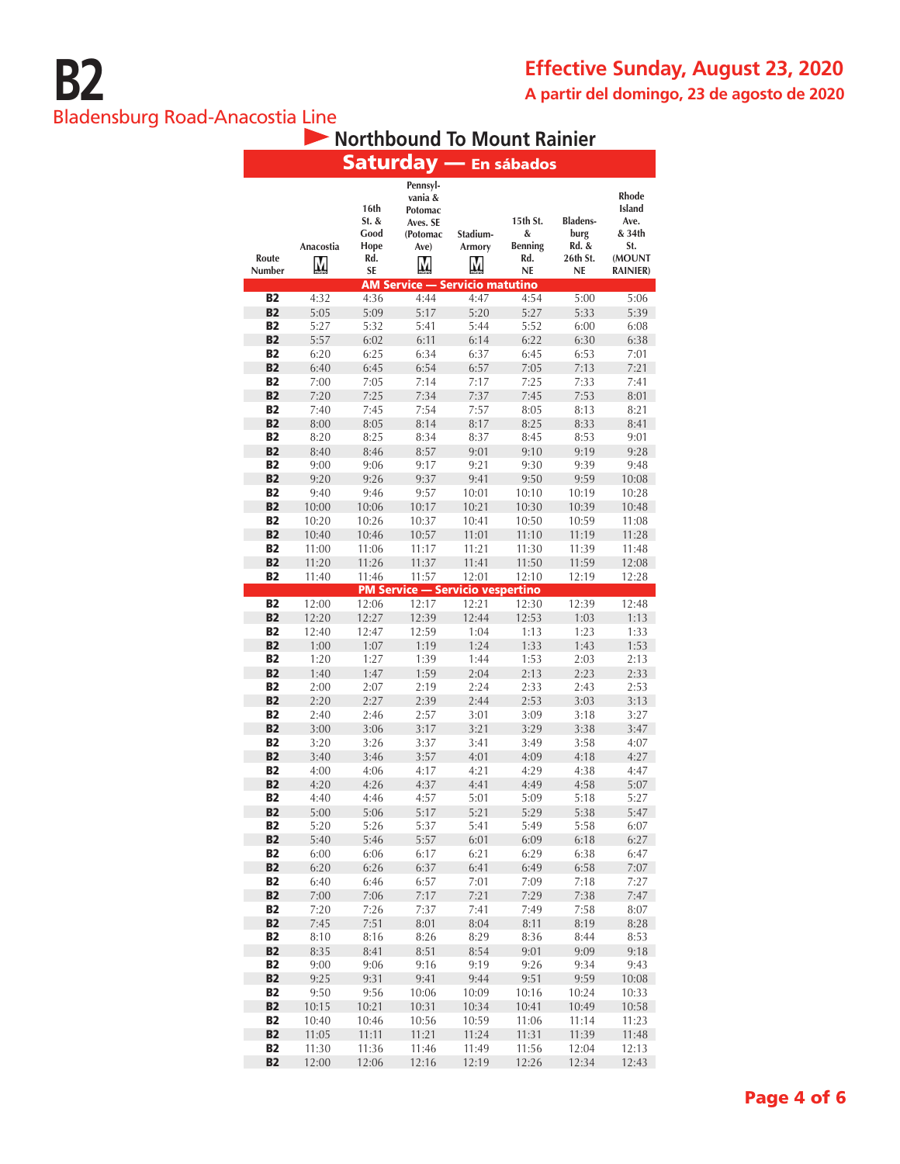#### **Effective Sunday, August 23, 2020 A partir del domingo, 23 de agosto de 2020**

#### Bladensburg Road-Anacostia Line

#### **Northbound To Mount Rainier**

|                             |                |                                                   |                                                                     |                         | Saturday — En sábados                               |                                                    |                                                                              |
|-----------------------------|----------------|---------------------------------------------------|---------------------------------------------------------------------|-------------------------|-----------------------------------------------------|----------------------------------------------------|------------------------------------------------------------------------------|
| Route<br><b>Number</b>      | Anacostia<br>М | 16th<br>St. &<br>Good<br>Hope<br>Rd.<br><b>SE</b> | Pennsyl-<br>vania &<br>Potomac<br>Aves. SE<br>(Potomac<br>Ave)<br>M | Stadium-<br>Armory<br>М | 15th St.<br>&<br><b>Benning</b><br>Rd.<br><b>NE</b> | <b>Bladens-</b><br>burg<br>Rd. &<br>26th St.<br>NE | Rhode<br><b>Island</b><br>Ave.<br>& 34th<br>St.<br>(MOUNT<br><b>RAINIER)</b> |
| <b>B2</b>                   | 4:32           | 4:36                                              | <b>AM Service — Servicio matutino</b><br>4:44                       | 4:47                    | 4:54                                                | 5:00                                               | 5:06                                                                         |
| <b>B2</b>                   | 5:05           | 5:09                                              | 5:17                                                                | 5:20                    | 5:27                                                | 5:33                                               | 5:39                                                                         |
| <b>B2</b>                   | 5:27           | 5:32                                              | 5:41                                                                | 5:44                    | 5:52                                                | 6:00                                               | 6:08                                                                         |
| <b>B2</b>                   | 5:57           | 6:02                                              | 6:11                                                                | 6:14                    | 6:22                                                | 6:30                                               | 6:38                                                                         |
| <b>B2</b>                   | 6:20           | 6:25                                              | 6:34                                                                | 6:37                    | 6:45                                                | 6:53                                               | 7:01                                                                         |
| <b>B2</b>                   | 6:40           | 6:45                                              | 6:54                                                                | 6:57                    | 7:05                                                | 7:13                                               | 7:21                                                                         |
| <b>B2</b>                   | 7:00           | 7:05                                              | 7:14                                                                | 7:17                    | 7:25                                                | 7:33                                               | 7:41                                                                         |
| <b>B2</b>                   | 7:20           | 7:25                                              | 7:34                                                                | 7:37                    | 7:45                                                | 7:53                                               | 8:01                                                                         |
| <b>B2</b><br><b>B2</b>      | 7:40<br>8:00   | 7:45<br>8:05                                      | 7:54<br>8:14                                                        | 7:57<br>8:17            | 8:05<br>8:25                                        | 8:13<br>8:33                                       | 8:21<br>8:41                                                                 |
| <b>B2</b>                   | 8:20           | 8:25                                              | 8:34                                                                | 8:37                    | 8:45                                                | 8:53                                               | 9:01                                                                         |
| <b>B2</b>                   | 8:40           | 8:46                                              | 8:57                                                                | 9:01                    | 9:10                                                | 9:19                                               | 9:28                                                                         |
| <b>B2</b>                   | 9:00           | 9:06                                              | 9:17                                                                | 9:21                    | 9:30                                                | 9:39                                               | 9:48                                                                         |
| <b>B2</b>                   | 9:20           | 9:26                                              | 9:37                                                                | 9:41                    | 9:50                                                | 9:59                                               | 10:08                                                                        |
| <b>B2</b>                   | 9:40           | 9:46                                              | 9:57                                                                | 10:01                   | 10:10                                               | 10:19                                              | 10:28                                                                        |
| <b>B2</b>                   | 10:00          | 10:06                                             | 10:17                                                               | 10:21                   | 10:30                                               | 10:39                                              | 10:48                                                                        |
| <b>B2</b>                   | 10:20          | 10:26                                             | 10:37                                                               | 10:41                   | 10:50                                               | 10:59                                              | 11:08                                                                        |
| <b>B2</b>                   | 10:40          | 10:46                                             | 10:57                                                               | 11:01                   | 11:10                                               | 11:19                                              | 11:28                                                                        |
| <b>B2</b><br><b>B2</b>      | 11:00          | 11:06                                             | 11:17                                                               | 11:21                   | 11:30                                               | 11:39                                              | 11:48                                                                        |
| <b>B2</b>                   | 11:20<br>11:40 | 11:26<br>11:46                                    | 11:37<br>11:57                                                      | 11:41<br>12:01          | 11:50<br>12:10                                      | 11:59<br>12:19                                     | 12:08<br>12:28                                                               |
|                             |                |                                                   | <b>PM Service - Servicio vespertino</b>                             |                         |                                                     |                                                    |                                                                              |
| <b>B2</b>                   | 12:00          | 12:06                                             | 12:17                                                               | 12:21                   | 12:30                                               | 12:39                                              | 12:48                                                                        |
| <b>B2</b>                   | 12:20          | 12:27                                             | 12:39                                                               | 12:44                   | 12:53                                               | 1:03                                               | 1:13                                                                         |
| <b>B2</b>                   | 12:40          | 12:47                                             | 12:59                                                               | 1:04                    | 1:13                                                | 1:23                                               | 1:33                                                                         |
| <b>B2</b>                   | 1:00           | 1:07                                              | 1:19                                                                | 1:24                    | 1:33                                                | 1:43                                               | 1:53                                                                         |
| <b>B2</b>                   | 1:20           | 1:27                                              | 1:39                                                                | 1:44                    | 1:53                                                | 2:03                                               | 2:13                                                                         |
| <b>B2</b>                   | 1:40           | 1:47                                              | 1:59                                                                | 2:04                    | 2:13                                                | 2:23                                               | 2:33                                                                         |
| <b>B2</b><br>B <sub>2</sub> | 2:00           | 2:07                                              | 2:19                                                                | 2:24                    | 2:33<br>2:53                                        | 2:43                                               | 2:53                                                                         |
| <b>B2</b>                   | 2:20<br>2:40   | 2:27<br>2:46                                      | 2:39<br>2:57                                                        | 2:44<br>3:01            | 3:09                                                | 3:03<br>3:18                                       | 3:13<br>3:27                                                                 |
| <b>B2</b>                   | 3:00           | 3:06                                              | 3:17                                                                | 3:21                    | 3:29                                                | 3:38                                               | 3:47                                                                         |
| <b>B2</b>                   | 3:20           | 3:26                                              | 3:37                                                                | 3:41                    | 3:49                                                | 3:58                                               | 4:07                                                                         |
| <b>B2</b>                   | 3:40           | 3:46                                              | 3:57                                                                | 4:01                    | 4:09                                                | 4:18                                               | 4:27                                                                         |
| <b>B2</b>                   | 4:00           | 4:06                                              | 4:17                                                                | 4:21                    | 4:29                                                | 4:38                                               | 4:47                                                                         |
| <b>B2</b>                   | 4:20           | 4:26                                              | 4:37                                                                | 4:41                    | 4:49                                                | 4:58                                               | 5:07                                                                         |
| <b>B2</b>                   | 4:40           | 4:46                                              | 4:57                                                                | 5:01                    | 5:09                                                | 5:18                                               | 5:27                                                                         |
| <b>B2</b><br><b>B2</b>      | 5:00<br>5:20   | 5:06<br>5:26                                      | 5:17                                                                | 5:21<br>5:41            | 5:29<br>5:49                                        | 5:38<br>5:58                                       | 5:47                                                                         |
| <b>B2</b>                   | 5:40           | 5:46                                              | 5:37<br>5:57                                                        | 6:01                    | 6:09                                                | 6:18                                               | 6:07<br>6:27                                                                 |
| B2                          | 6:00           | 6:06                                              | 6:17                                                                | 6:21                    | 6:29                                                | 6:38                                               | 6:47                                                                         |
| <b>B2</b>                   | 6:20           | 6:26                                              | 6:37                                                                | 6:41                    | 6:49                                                | 6:58                                               | 7:07                                                                         |
| <b>B2</b>                   | 6:40           | 6:46                                              | 6:57                                                                | 7:01                    | 7:09                                                | 7:18                                               | 7:27                                                                         |
| <b>B2</b>                   | 7:00           | 7:06                                              | 7:17                                                                | 7:21                    | 7:29                                                | 7:38                                               | 7:47                                                                         |
| <b>B2</b>                   | 7:20           | 7:26                                              | 7:37                                                                | 7:41                    | 7:49                                                | 7:58                                               | 8:07                                                                         |
| <b>B2</b>                   | 7:45           | 7:51                                              | 8:01                                                                | 8:04                    | 8:11                                                | 8:19                                               | 8:28                                                                         |
| <b>B2</b>                   | 8:10           | 8:16                                              | 8:26                                                                | 8:29                    | 8:36                                                | 8:44                                               | 8:53                                                                         |
| <b>B2</b>                   | 8:35           | 8:41                                              | 8:51                                                                | 8:54                    | 9:01                                                | 9:09                                               | 9:18                                                                         |
| <b>B2</b><br><b>B2</b>      | 9:00<br>9:25   | 9:06<br>9:31                                      | 9:16<br>9:41                                                        | 9:19<br>9:44            | 9:26<br>9:51                                        | 9:34<br>9:59                                       | 9:43<br>10:08                                                                |
| <b>B2</b>                   | 9:50           | 9:56                                              | 10:06                                                               | 10:09                   | 10:16                                               | 10:24                                              | 10:33                                                                        |
| <b>B2</b>                   | 10:15          | 10:21                                             | 10:31                                                               | 10:34                   | 10:41                                               | 10:49                                              | 10:58                                                                        |
| <b>B2</b>                   | 10:40          | 10:46                                             | 10:56                                                               | 10:59                   | 11:06                                               | 11:14                                              | 11:23                                                                        |
| <b>B2</b>                   | 11:05          | 11:11                                             | 11:21                                                               | 11:24                   | 11:31                                               | 11:39                                              | 11:48                                                                        |
| <b>B2</b>                   | 11:30          | 11:36                                             | 11:46                                                               | 11:49                   | 11:56                                               | 12:04                                              | 12:13                                                                        |
| <b>B2</b>                   | 12:00          | 12:06                                             | 12:16                                                               | 12:19                   | 12:26                                               | 12:34                                              | 12:43                                                                        |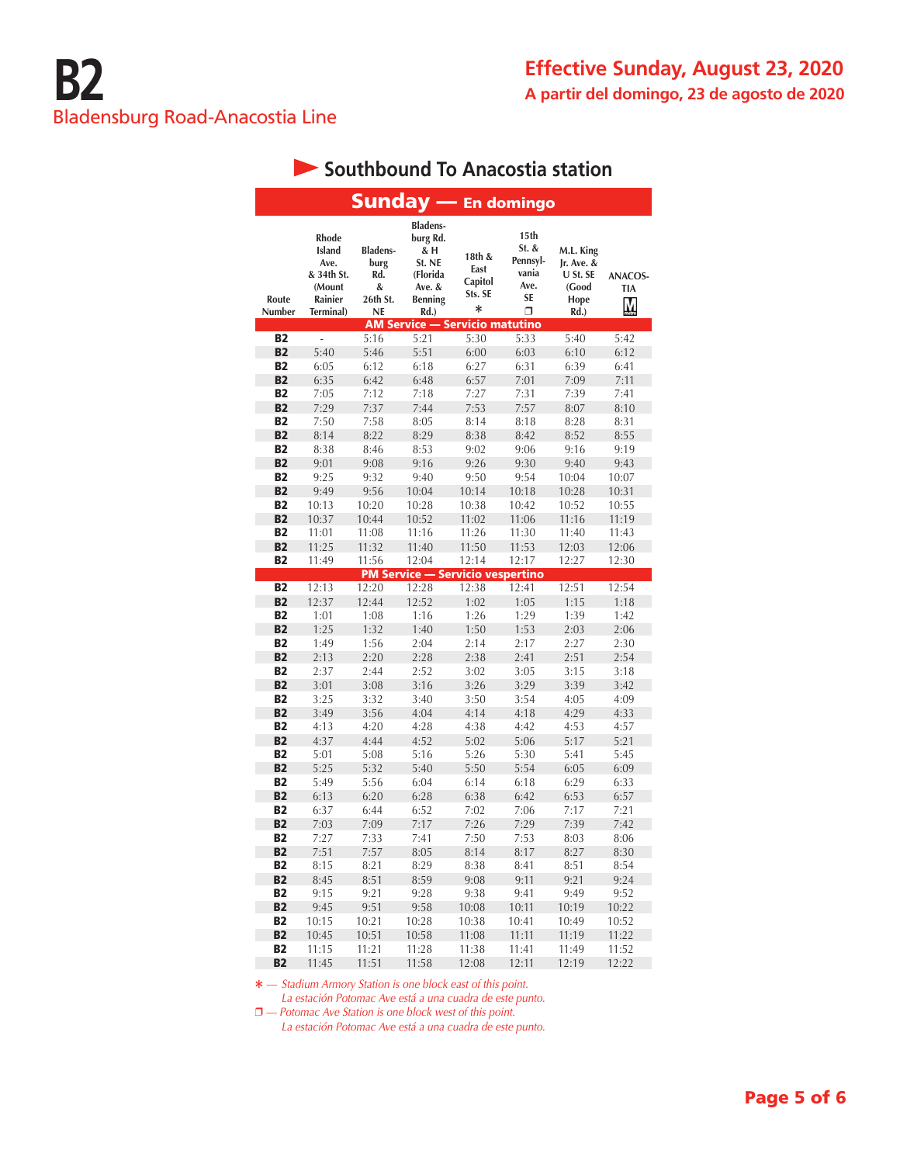|                        |                                                                                |                                                              | <b>Sunday — En domingo</b>                                                            |                                                |                                                              |                                                              |                            |
|------------------------|--------------------------------------------------------------------------------|--------------------------------------------------------------|---------------------------------------------------------------------------------------|------------------------------------------------|--------------------------------------------------------------|--------------------------------------------------------------|----------------------------|
| Route<br>Number        | <b>Rhode</b><br>Island<br>Ave.<br>& 34th St.<br>(Mount<br>Rainier<br>Terminal) | <b>Bladens-</b><br>burg<br>Rd.<br>&<br>26th St.<br><b>NE</b> | <b>Bladens-</b><br>burg Rd.<br>& H<br>St. NE<br>(Florida<br>Ave. &<br>Benning<br>Rd.) | 18th &<br>East<br>Capitol<br>Sts. SE<br>$\ast$ | 15th<br>St. &<br>Pennsyl-<br>vania<br>Ave.<br><b>SE</b><br>Π | M.L. King<br>Ir. Ave. &<br>U St. SE<br>(Good<br>Hope<br>Rd.) | ANACOS-<br><b>TIA</b><br>М |
|                        |                                                                                |                                                              | <b>AM Service — Servicio matutino</b>                                                 |                                                |                                                              |                                                              |                            |
| <b>B2</b><br><b>B2</b> | $\overline{a}$<br>5:40                                                         | 5:16                                                         | 5:21<br>5:51                                                                          | 5:30                                           | 5:33                                                         | 5:40                                                         | 5:42                       |
| <b>B2</b>              | 6:05                                                                           | 5:46<br>6:12                                                 | 6:18                                                                                  | 6:00<br>6:27                                   | 6:03<br>6:31                                                 | 6:10<br>6:39                                                 | 6:12<br>6:41               |
| <b>B2</b>              | 6:35                                                                           | 6:42                                                         | 6:48                                                                                  | 6:57                                           | 7:01                                                         | 7:09                                                         | 7:11                       |
| <b>B2</b>              | 7:05                                                                           | 7:12                                                         | 7:18                                                                                  | 7:27                                           | 7:31                                                         | 7:39                                                         | 7:41                       |
| <b>B2</b>              | 7:29                                                                           | 7:37                                                         | 7:44                                                                                  | 7:53                                           | 7:57                                                         | 8:07                                                         | 8:10                       |
| <b>B2</b>              | 7:50                                                                           | 7:58                                                         | 8:05                                                                                  | 8:14                                           | 8:18                                                         | 8:28                                                         | 8:31                       |
| <b>B2</b>              | 8:14                                                                           | 8:22                                                         | 8:29                                                                                  | 8:38                                           | 8:42                                                         | 8:52                                                         | 8:55                       |
| <b>B2</b>              | 8:38                                                                           | 8:46                                                         | 8:53                                                                                  | 9:02                                           | 9:06                                                         | 9:16                                                         | 9:19                       |
| <b>B2</b>              | 9:01                                                                           | 9:08                                                         | 9:16                                                                                  | 9:26                                           | 9:30                                                         | 9:40                                                         | 9:43                       |
| <b>B2</b>              | 9:25                                                                           | 9:32                                                         | 9:40                                                                                  | 9:50                                           | 9:54                                                         | 10:04                                                        | 10:07                      |
| <b>B2</b>              | 9:49                                                                           | 9:56                                                         | 10:04                                                                                 | 10:14                                          | 10:18                                                        | 10:28                                                        | 10:31                      |
| <b>B2</b>              | 10:13                                                                          | 10:20                                                        | 10:28                                                                                 | 10:38                                          | 10:42                                                        | 10:52                                                        | 10:55                      |
| <b>B2</b>              | 10:37                                                                          | 10:44                                                        | 10:52                                                                                 | 11:02                                          | 11:06                                                        | 11:16                                                        | 11:19                      |
| <b>B2</b>              | 11:01                                                                          | 11:08                                                        | 11:16                                                                                 | 11:26                                          | 11:30                                                        | 11:40                                                        | 11:43                      |
| <b>B2</b>              | 11:25                                                                          | 11:32                                                        | 11:40                                                                                 | 11:50                                          | 11:53                                                        | 12:03                                                        | 12:06                      |
| B2                     | 11:49                                                                          | 11:56                                                        | 12:04                                                                                 | 12:14                                          | 12:17                                                        | 12:27                                                        | 12:30                      |
|                        |                                                                                |                                                              | <b>PM Service - Servicio vespertino</b>                                               |                                                |                                                              |                                                              |                            |
| <b>B2</b>              | 12:13                                                                          | 12:20                                                        | 12:28                                                                                 | 12:38                                          | 12:41                                                        | 12:51                                                        | 12:54                      |
| B <sub>2</sub>         | 12:37                                                                          | 12:44                                                        | 12:52                                                                                 | 1:02                                           | 1:05                                                         | 1:15                                                         | 1:18                       |
| <b>B2</b>              | 1:01                                                                           | 1:08                                                         | 1:16                                                                                  | 1:26                                           | 1:29                                                         | 1:39                                                         | 1:42                       |
| <b>B2</b>              | 1:25                                                                           | 1:32                                                         | 1:40                                                                                  | 1:50                                           | 1:53                                                         | 2:03                                                         | 2:06                       |
| <b>B2</b>              | 1:49                                                                           | 1:56                                                         | 2:04                                                                                  | 2:14                                           | 2:17                                                         | 2:27                                                         | 2:30                       |
| <b>B2</b>              | 2:13                                                                           | 2:20                                                         | 2:28                                                                                  | 2:38                                           | 2:41                                                         | 2:51                                                         | 2:54                       |
| <b>B2</b>              | 2:37                                                                           | 2:44                                                         | 2:52                                                                                  | 3:02                                           | 3:05                                                         | 3:15                                                         | 3:18                       |
| <b>B2</b>              | 3:01                                                                           | 3:08                                                         | 3:16                                                                                  | 3:26                                           | 3:29                                                         | 3:39                                                         | 3:42                       |
| <b>B2</b>              | 3:25                                                                           | 3:32                                                         | 3:40                                                                                  | 3:50                                           | 3:54                                                         | 4:05                                                         | 4:09                       |
| <b>B2</b>              | 3:49                                                                           | 3:56                                                         | 4:04                                                                                  | 4:14                                           | 4:18                                                         | 4:29                                                         | 4:33                       |
| <b>B2</b>              | 4:13                                                                           | 4:20                                                         | 4:28                                                                                  | 4:38                                           | 4:42                                                         | 4:53                                                         | 4:57                       |
| <b>B2</b>              | 4:37                                                                           | 4:44                                                         | 4:52                                                                                  | 5:02                                           | 5:06                                                         | 5:17                                                         | 5:21                       |
| <b>B2</b><br><b>B2</b> | 5:01<br>5:25                                                                   | 5:08<br>5:32                                                 | 5:16<br>5:40                                                                          | 5:26<br>5:50                                   | 5:30<br>5:54                                                 | 5:41<br>6:05                                                 | 5:45<br>6:09               |
| <b>B2</b>              |                                                                                | 5:56                                                         |                                                                                       |                                                |                                                              |                                                              |                            |
| <b>B2</b>              | 5:49<br>6:13                                                                   | 6:20                                                         | 6:04<br>6:28                                                                          | 6:14<br>6:38                                   | 6:18<br>6:42                                                 | 6:29<br>6:53                                                 | 6:33<br>6:57               |
| <b>B2</b>              | 6:37                                                                           | 6:44                                                         | 6:52                                                                                  | 7:02                                           | 7:06                                                         | 7:17                                                         | 7:21                       |
| <b>B2</b>              | 7:03                                                                           | 7:09                                                         | 7:17                                                                                  | 7:26                                           | 7:29                                                         | 7:39                                                         | 7:42                       |
| <b>B2</b>              | 7:27                                                                           | 7:33                                                         | 7:41                                                                                  | 7:50                                           | 7:53                                                         | 8:03                                                         | 8:06                       |
| <u>в2</u>              | /31                                                                            | / : 5/                                                       | 8:05                                                                                  | 8:14                                           | 8:17                                                         | 8:27                                                         | 8:30                       |
| <b>B2</b>              | 8:15                                                                           | 8:21                                                         | 8:29                                                                                  | 8:38                                           | 8:41                                                         | 8:51                                                         | 8:54                       |
| <b>B2</b>              | 8:45                                                                           | 8:51                                                         | 8:59                                                                                  | 9:08                                           | 9:11                                                         | 9:21                                                         | 9:24                       |
| <b>B2</b>              | 9:15                                                                           | 9:21                                                         | 9:28                                                                                  | 9:38                                           | 9:41                                                         | 9:49                                                         | 9:52                       |
| <b>B2</b>              | 9:45                                                                           | 9:51                                                         | 9:58                                                                                  | 10:08                                          | 10:11                                                        | 10:19                                                        | 10:22                      |
| <b>B2</b>              | 10:15                                                                          | 10:21                                                        | 10:28                                                                                 | 10:38                                          | 10:41                                                        | 10:49                                                        | 10:52                      |
| <b>B2</b>              | 10:45                                                                          | 10:51                                                        | 10:58                                                                                 | 11:08                                          | 11:11                                                        | 11:19                                                        | 11:22                      |
| <b>B2</b>              | 11:15                                                                          | 11:21                                                        | 11:28                                                                                 | 11:38                                          | 11:41                                                        | 11:49                                                        | 11:52                      |
| <b>B2</b>              | 11:45                                                                          | 11:51                                                        | 11:58                                                                                 | 12:08                                          | 12:11                                                        | 12:19                                                        | 12:22                      |

## **Southbound To Anacostia station**

**\*** *— Stadium Armory Station is one block east of this point.*

*La estación Potomac Ave está a una cuadra de este punto.* 

 $\Box$  — Potomac Ave Station is one block west of this point. *La estación Potomac Ave está a una cuadra de este punto.*